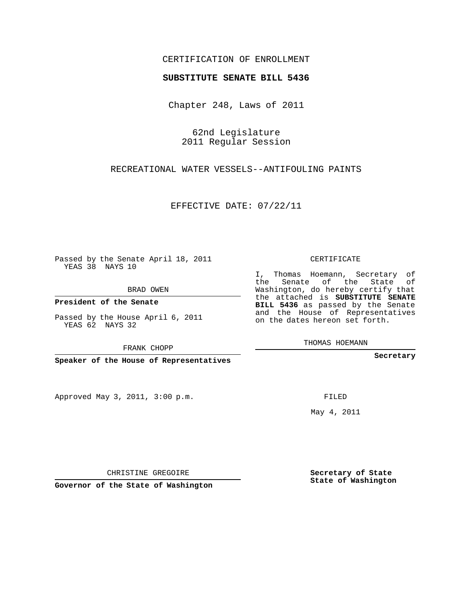## CERTIFICATION OF ENROLLMENT

## **SUBSTITUTE SENATE BILL 5436**

Chapter 248, Laws of 2011

62nd Legislature 2011 Regular Session

RECREATIONAL WATER VESSELS--ANTIFOULING PAINTS

EFFECTIVE DATE: 07/22/11

Passed by the Senate April 18, 2011 YEAS 38 NAYS 10

BRAD OWEN

**President of the Senate**

Passed by the House April 6, 2011 YEAS 62 NAYS 32

FRANK CHOPP

**Speaker of the House of Representatives**

Approved May 3, 2011, 3:00 p.m.

CERTIFICATE

I, Thomas Hoemann, Secretary of the Senate of the State of Washington, do hereby certify that the attached is **SUBSTITUTE SENATE BILL 5436** as passed by the Senate and the House of Representatives on the dates hereon set forth.

THOMAS HOEMANN

**Secretary**

FILED

May 4, 2011

**Secretary of State State of Washington**

CHRISTINE GREGOIRE

**Governor of the State of Washington**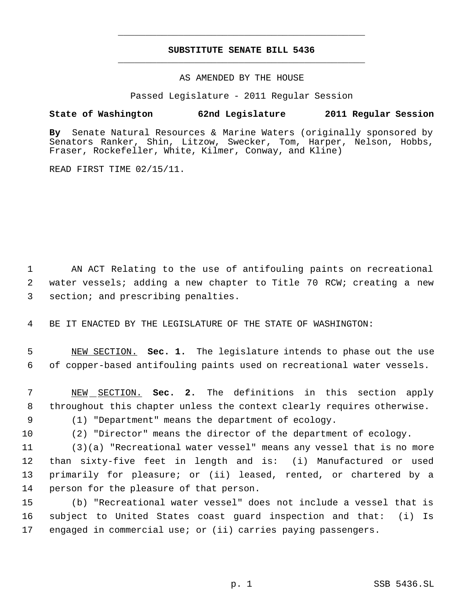## **SUBSTITUTE SENATE BILL 5436** \_\_\_\_\_\_\_\_\_\_\_\_\_\_\_\_\_\_\_\_\_\_\_\_\_\_\_\_\_\_\_\_\_\_\_\_\_\_\_\_\_\_\_\_\_

\_\_\_\_\_\_\_\_\_\_\_\_\_\_\_\_\_\_\_\_\_\_\_\_\_\_\_\_\_\_\_\_\_\_\_\_\_\_\_\_\_\_\_\_\_

AS AMENDED BY THE HOUSE

Passed Legislature - 2011 Regular Session

## **State of Washington 62nd Legislature 2011 Regular Session**

**By** Senate Natural Resources & Marine Waters (originally sponsored by Senators Ranker, Shin, Litzow, Swecker, Tom, Harper, Nelson, Hobbs, Fraser, Rockefeller, White, Kilmer, Conway, and Kline)

READ FIRST TIME 02/15/11.

 AN ACT Relating to the use of antifouling paints on recreational water vessels; adding a new chapter to Title 70 RCW; creating a new section; and prescribing penalties.

BE IT ENACTED BY THE LEGISLATURE OF THE STATE OF WASHINGTON:

 NEW SECTION. **Sec. 1.** The legislature intends to phase out the use of copper-based antifouling paints used on recreational water vessels.

 NEW SECTION. **Sec. 2.** The definitions in this section apply throughout this chapter unless the context clearly requires otherwise.

(1) "Department" means the department of ecology.

(2) "Director" means the director of the department of ecology.

 (3)(a) "Recreational water vessel" means any vessel that is no more than sixty-five feet in length and is: (i) Manufactured or used primarily for pleasure; or (ii) leased, rented, or chartered by a person for the pleasure of that person.

 (b) "Recreational water vessel" does not include a vessel that is subject to United States coast guard inspection and that: (i) Is engaged in commercial use; or (ii) carries paying passengers.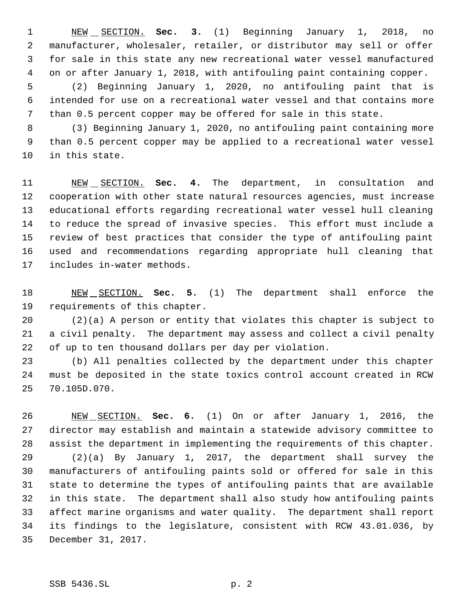NEW SECTION. **Sec. 3.** (1) Beginning January 1, 2018, no manufacturer, wholesaler, retailer, or distributor may sell or offer for sale in this state any new recreational water vessel manufactured on or after January 1, 2018, with antifouling paint containing copper.

 (2) Beginning January 1, 2020, no antifouling paint that is intended for use on a recreational water vessel and that contains more than 0.5 percent copper may be offered for sale in this state.

 (3) Beginning January 1, 2020, no antifouling paint containing more than 0.5 percent copper may be applied to a recreational water vessel in this state.

 NEW SECTION. **Sec. 4.** The department, in consultation and cooperation with other state natural resources agencies, must increase educational efforts regarding recreational water vessel hull cleaning to reduce the spread of invasive species. This effort must include a review of best practices that consider the type of antifouling paint used and recommendations regarding appropriate hull cleaning that includes in-water methods.

 NEW SECTION. **Sec. 5.** (1) The department shall enforce the requirements of this chapter.

 (2)(a) A person or entity that violates this chapter is subject to a civil penalty. The department may assess and collect a civil penalty of up to ten thousand dollars per day per violation.

 (b) All penalties collected by the department under this chapter must be deposited in the state toxics control account created in RCW 70.105D.070.

 NEW SECTION. **Sec. 6.** (1) On or after January 1, 2016, the director may establish and maintain a statewide advisory committee to assist the department in implementing the requirements of this chapter. (2)(a) By January 1, 2017, the department shall survey the manufacturers of antifouling paints sold or offered for sale in this state to determine the types of antifouling paints that are available in this state. The department shall also study how antifouling paints affect marine organisms and water quality. The department shall report its findings to the legislature, consistent with RCW 43.01.036, by December 31, 2017.